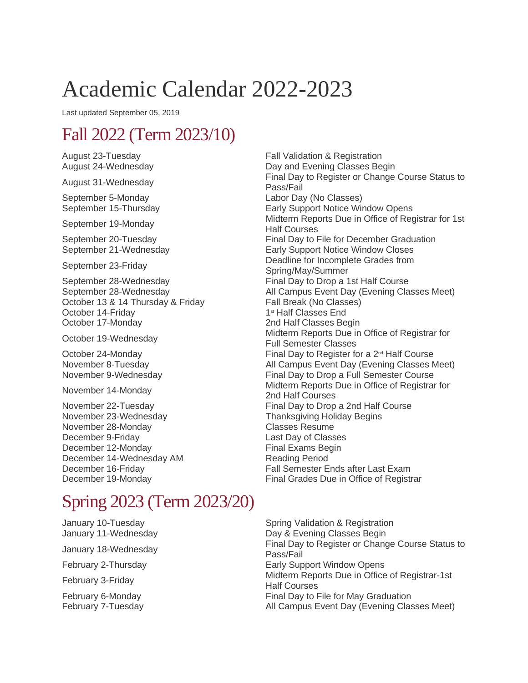# Academic Calendar 2022-2023

Last updated September 05, 2019

## Fall 2022 (Term 2023/10)

August 23-Tuesday **Fall Validation & Registration** 

September 5-Monday Labor Day (No Classes)

September 28-Wednesday Final Day to Drop a 1st Half Course October 13 & 14 Thursday & Friday Fall Break (No Classes) October 14-Friday 1st Half Classes End October 17-Monday 2nd Half Classes Begin

November 23-Wednesday Thanksgiving Holiday Begins<br>November 28-Monday November 28-Monday November 28-Monday December 9-Friday Last Day of Classes<br>
December 12-Mondav Classes<br>
Final Exams Begin December 12-Monday December 14-Wednesday AM Reading Period December 16-Friday Fall Semester Ends after Last Exam<br>December 19-Monday Final Grades Due in Office of Registr

#### August 24-Wednesday Day and Evening Classes Begin August 31-Wednesday **Final Day to Register or Change Course Status to** Pass/Fail Early Support Notice Window Opens September 19-Monday Midterm Reports Due in Office of Registrar for 1st Half Courses September 20-Tuesday **Final Day to File for December Graduation** September 21-Wednesday Early Support Notice Window Closes September 23-Friday **Deadline** for Incomplete Grades from Spring/May/Summer September 28-Wednesday **All Campus Event Day (Evening Classes Meet)** All Campus Event Day (Evening Classes Meet) October 19-Wednesday Midterm Reports Due in Office of Registrar for<br>
Full Barnetta Classes Full Semester Classes October 24-Monday  $\Box$  Final Day to Register for a  $2^{\omega}$  Half Course November 8-Tuesday <br>
November 9-Wednesday 
All Campus Event Day (Evening Classes Meet)<br>
Final Day to Drop a Full Semester Course Final Day to Drop a Full Semester Course November 14-Monday Midterm Reports Due in Office of Registrar for<br>  $\frac{1}{2}$  Midterm Reports Due in Office of Registrar for 2nd Half Courses November 22-Tuesday **Final Day to Drop a 2nd Half Course** Final Grades Due in Office of Registrar

## Spring 2023 (Term 2023/20)

January 10-Tuesday New Spring Validation & Registration January 11-Wednesday **Day & Evening Classes Begin** January 18-Wednesday Final Day to Register or Change Course Status to Pass/Fail February 2-Thursday **Early Support Window Opens** February 3-Friday Midterm Reports Due in Office of Registrar-1st Half Courses February 6-Monday **Final Day to File for May Graduation** February 7-Tuesday **All Campus Event Day (Evening Classes Meet)** All Campus Event Day (Evening Classes Meet)